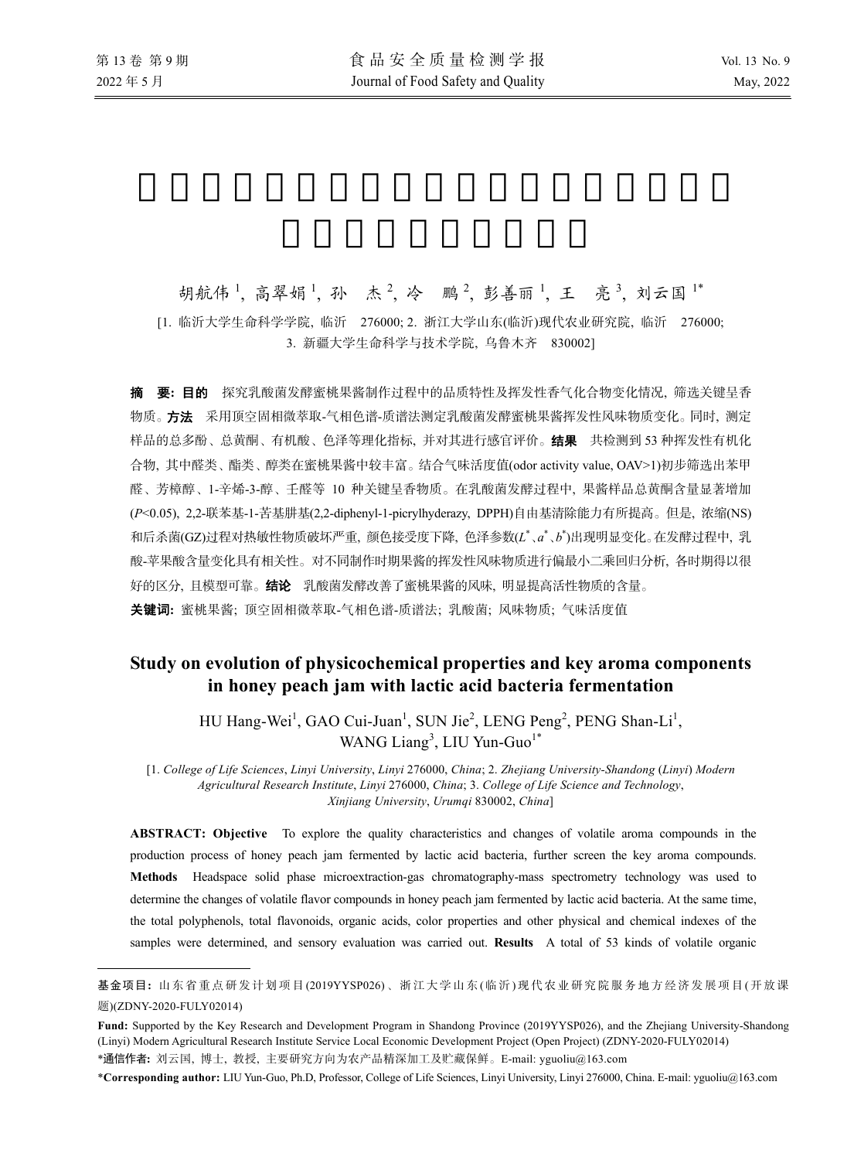l

胡航伟1, 高翠娟1, 孙 杰2, 冷 鹏2, 彭善丽1, 王 亮3, 刘云国1\* [1. 临沂大学生命科学学院, 临沂 276000; 2. 浙江大学山东(临沂)现代农业研究院, 临沂 276000; 3. 新疆大学生命科学与技术学院, 乌鲁木齐 830002]

摘要**:** 目的 探究乳酸菌发酵蜜桃果酱制作过程中的品质特性及挥发性香气化合物变化情况, 筛选关键呈香 物质。方法采用顶空固相微萃取-气相色谱-质谱法测定乳酸菌发酵蜜桃果酱挥发性风味物质变化。同时, 测定 样品的总多酚、总黄酮、有机酸、色泽等理化指标, 并对其进行感官评价。结果共检测到 53 种挥发性有机化 合物, 其中醛类、酯类、醇类在蜜桃果酱中较丰富。结合气味活度值(odor activity value, OAV>1)初步筛选出苯甲 醛、芳樟醇、1-辛烯-3-醇、壬醛等 10 种关键呈香物质。在乳酸菌发酵过程中, 果酱样品总黄酮含量显著增加 (*P*<0.05), 2,2-联苯基-1-苦基肼基(2,2-diphenyl-1-picrylhyderazy, DPPH)自由基清除能力有所提高。但是, 浓缩(NS) 和后杀菌(GZ)过程对热敏性物质破坏严重, 颜色接受度下降, 色泽参数(L<sup>\*</sup>、a<sup>\*</sup>、b<sup>\*</sup>)出现明显变化。在发酵过程中, 乳 酸-苹果酸含量变化具有相关性。对不同制作时期果酱的挥发性风味物质进行偏最小二乘回归分析, 各时期得以很 好的区分, 且模型可靠。结论乳酸菌发酵改善了蜜桃果酱的风味, 明显提高活性物质的含量。 关键词**:** 蜜桃果酱; 顶空固相微萃取-气相色谱-质谱法; 乳酸菌; 风味物质; 气味活度值

# **Study on evolution of physicochemical properties and key aroma components in honey peach jam with lactic acid bacteria fermentation**

HU Hang-Wei<sup>1</sup>, GAO Cui-Juan<sup>1</sup>, SUN Jie<sup>2</sup>, LENG Peng<sup>2</sup>, PENG Shan-Li<sup>1</sup>, WANG Liang<sup>3</sup>, LIU Yun-Guo<sup>1\*</sup>

[1. *College of Life Sciences*, *Linyi University*, *Linyi* 276000, *China*; 2. *Zhejiang University-Shandong* (*Linyi*) *Modern Agricultural Research Institute*, *Linyi* 276000, *China*; 3. *College of Life Science and Technology*, *Xinjiang University*, *Urumqi* 830002, *China*]

**ABSTRACT: Objective** To explore the quality characteristics and changes of volatile aroma compounds in the production process of honey peach jam fermented by lactic acid bacteria, further screen the key aroma compounds. **Methods** Headspace solid phase microextraction-gas chromatography-mass spectrometry technology was used to determine the changes of volatile flavor compounds in honey peach jam fermented by lactic acid bacteria. At the same time, the total polyphenols, total flavonoids, organic acids, color properties and other physical and chemical indexes of the samples were determined, and sensory evaluation was carried out. **Results** A total of 53 kinds of volatile organic

\***Corresponding author:** LIU Yun-Guo, Ph.D, Professor, College of Life Sciences, Linyi University, Linyi 276000, China. E-mail: yguoliu@163.com

基金项目**:** 山东省重点研发计划项目 (2019YYSP026)、浙江大学山东 (临沂)现代农业研究院服务地方经济发展项目 (开放课 题)(ZDNY-2020-FULY02014)

**Fund:** Supported by the Key Research and Development Program in Shandong Province (2019YYSP026), and the Zhejiang University-Shandong (Linyi) Modern Agricultural Research Institute Service Local Economic Development Project (Open Project) (ZDNY-2020-FULY02014) \*通信作者**:** 刘云国, 博士, 教授, 主要研究方向为农产品精深加工及贮藏保鲜。E-mail: yguoliu@163.com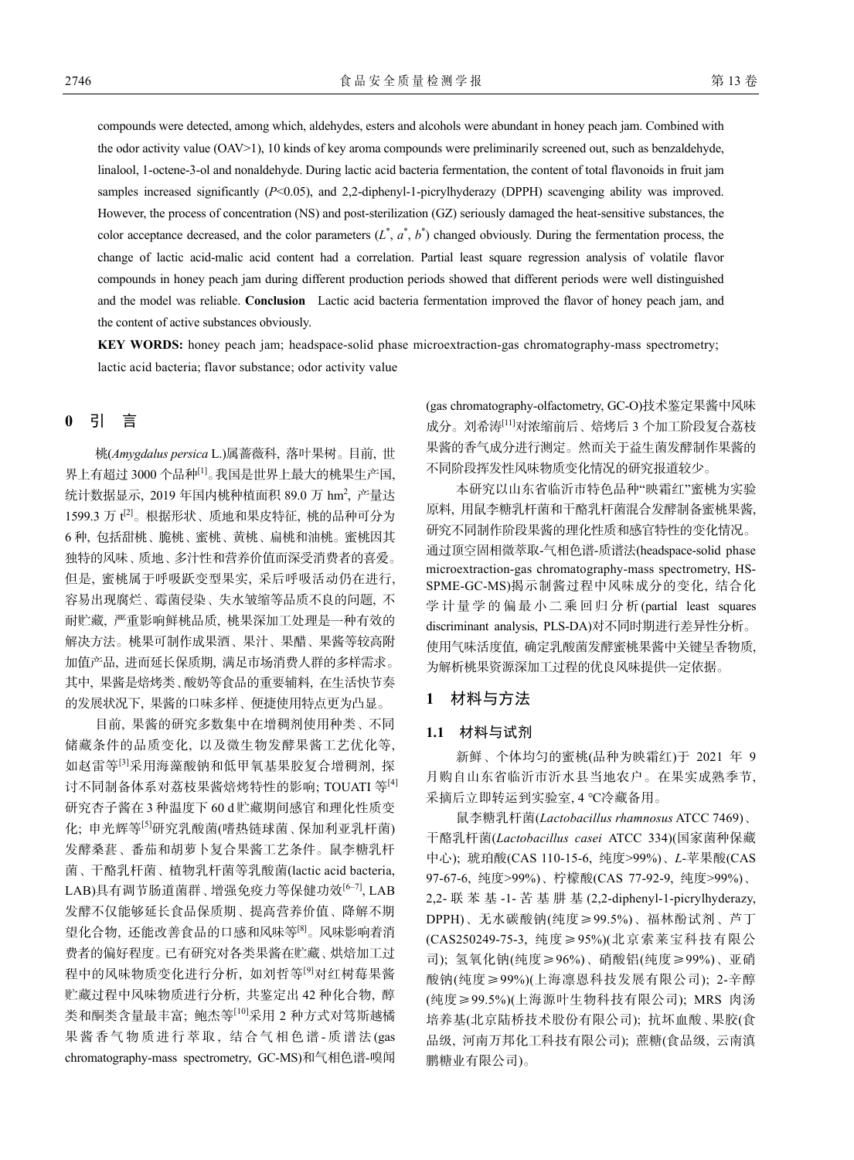compounds were detected, among which, aldehydes, esters and alcohols were abundant in honey peach jam. Combined with the odor activity value (OAV>1), 10 kinds of key aroma compounds were preliminarily screened out, such as benzaldehyde, linalool, 1-octene-3-ol and nonaldehyde. During lactic acid bacteria fermentation, the content of total flavonoids in fruit jam samples increased significantly (*P*<0.05), and 2,2-diphenyl-1-picrylhyderazy (DPPH) scavenging ability was improved. However, the process of concentration (NS) and post-sterilization (GZ) seriously damaged the heat-sensitive substances, the color acceptance decreased, and the color parameters  $(L^*, a^*, b^*)$  changed obviously. During the fermentation process, the change of lactic acid-malic acid content had a correlation. Partial least square regression analysis of volatile flavor compounds in honey peach jam during different production periods showed that different periods were well distinguished and the model was reliable. **Conclusion** Lactic acid bacteria fermentation improved the flavor of honey peach jam, and the content of active substances obviously.

**KEY WORDS:** honey peach jam; headspace-solid phase microextraction-gas chromatography-mass spectrometry; lactic acid bacteria; flavor substance; odor activity value

# **0** 引 言

桃(*Amygdalus persica* L.)属蔷薇科, 落叶果树。目前, 世 界上有超过 3000 个品种[1]。我国是世界上最大的桃果生产国, 统计数据显示,2019 年国内桃种植面积 89.0 万 hm<sup>2</sup>,产量达 1599.3 万 t[2]。根据形状、质地和果皮特征, 桃的品种可分为 6 种, 包括甜桃、脆桃、蜜桃、黄桃、扁桃和油桃。蜜桃因其 独特的风味、质地、多汁性和营养价值而深受消费者的喜爱。 但是, 蜜桃属于呼吸跃变型果实, 采后呼吸活动仍在进行, 容易出现腐烂、霉菌侵染、失水皱缩等品质不良的问题, 不 耐贮藏, 严重影响鲜桃品质, 桃果深加工处理是一种有效的 解决方法。桃果可制作成果酒、果汁、果醋、果酱等较高附 加值产品, 进而延长保质期, 满足市场消费人群的多样需求。 其中, 果酱是焙烤类、酸奶等食品的重要辅料, 在生活快节奏 的发展状况下, 果酱的口味多样、便捷使用特点更为凸显。

目前, 果酱的研究多数集中在增稠剂使用种类、不同 储藏条件的品质变化, 以及微生物发酵果酱工艺优化等, 如赵雷等[3]采用海藻酸钠和低甲氧基果胶复合增稠剂, 探 讨不同制备体系对荔枝果酱焙烤特性的影响; TOUATI 等<sup>[4]</sup> 研究杏子酱在 3 种温度下 60 d 贮藏期间感官和理化性质变 化; 申光辉等[5]研究乳酸菌(嗜热链球菌、保加利亚乳杆菌) 发酵桑葚、番茄和胡萝卜复合果酱工艺条件。鼠李糖乳杆 菌、干酪乳杆菌、植物乳杆菌等乳酸菌(lactic acid bacteria, LAB)具有调节肠道菌群、增强免疫力等保健功效<sup>[6-7]</sup>, LAB 发酵不仅能够延长食品保质期、提高营养价值、降解不期 望化合物, 还能改善食品的口感和风味等[8]。风味影响着消 费者的偏好程度。已有研究对各类果酱在贮藏、烘焙加工过 程中的风味物质变化进行分析, 如刘哲等<sup>[9]</sup>对红树莓果酱 贮藏过程中风味物质进行分析, 共鉴定出 42 种化合物, 醇 类和酮类含量最丰富; 鲍杰等[10]采用 2 种方式对笃斯越橘 果酱香气物质进行萃取, 结合气相色谱-质谱法(gas chromatography-mass spectrometry, GC-MS)和气相色谱-嗅闻

(gas chromatography-olfactometry, GC-O)技术鉴定果酱中风味 成分。刘希涛[11]对浓缩前后、焙烤后 3 个加工阶段复合荔枝 果酱的香气成分进行测定。然而关于益生菌发酵制作果酱的 不同阶段挥发性风味物质变化情况的研究报道较少。

本研究以山东省临沂市特色品种"映霜红"蜜桃为实验 原料, 用鼠李糖乳杆菌和干酪乳杆菌混合发酵制备蜜桃果酱, 研究不同制作阶段果酱的理化性质和感官特性的变化情况。 通过顶空固相微萃取-气相色谱-质谱法(headspace-solid phase microextraction-gas chromatography-mass spectrometry, HS-SPME-GC-MS)揭示制酱过程中风味成分的变化, 结合化 学计量学的偏最小二乘回归分析 (partial least squares discriminant analysis, PLS-DA)对不同时期进行差异性分析。 使用气味活度值, 确定乳酸菌发酵蜜桃果酱中关键呈香物质, 为解析桃果资源深加工过程的优良风味提供一定依据。

# **1** 材料与方法

## **1.1** 材料与试剂

新鲜、个体均匀的蜜桃(品种为映霜红)于 2021 年 9 月购自山东省临沂市沂水县当地农户。在果实成熟季节, 采摘后立即转运到实验室, 4 ℃冷藏备用。

鼠李糖乳杆菌(*Lactobacillus rhamnosus* ATCC 7469)、 干酪乳杆菌(*Lactobacillus casei* ATCC 334)(国家菌种保藏 中心); 琥珀酸(CAS 110-15-6, 纯度>99%)、*L*-苹果酸(CAS 97-67-6, 纯度>99%)、柠檬酸(CAS 77-92-9, 纯度>99%)、 2,2- 联苯基 -1- 苦基肼基 (2,2-diphenyl-1-picrylhyderazy, DPPH)、无水碳酸钠(纯度≥99.5%)、福林酚试剂、芦丁 (CAS250249-75-3, 纯度≥95%)(北京索莱宝科技有限公 司); 氢氧化钠(纯度≥96%)、硝酸铝(纯度≥99%)、亚硝 酸钠(纯度≥99%)(上海凛恩科技发展有限公司); 2-辛醇 (纯度≥99.5%)(上海源叶生物科技有限公司); MRS 肉汤 培养基(北京陆桥技术股份有限公司); 抗坏血酸、果胶(食 品级, 河南万邦化工科技有限公司); 蔗糖(食品级, 云南滇 鹏糖业有限公司)。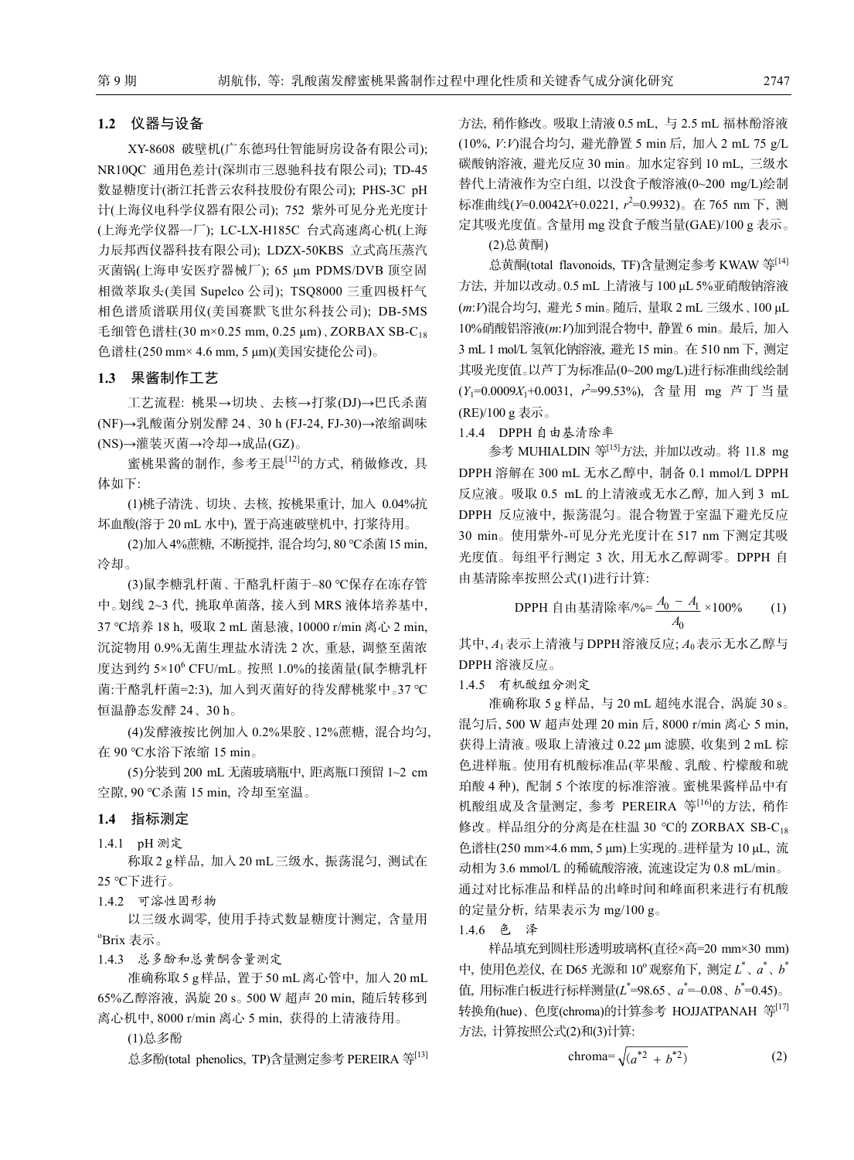#### **1.2** 仪器与设备

XY-8608 破壁机(广东德玛仕智能厨房设备有限公司); NR10QC 通用色差计(深圳市三恩驰科技有限公司); TD-45 数显糖度计(浙江托普云农科技股份有限公司); PHS-3C pH 计(上海仪电科学仪器有限公司); 752 紫外可见分光光度计 (上海光学仪器一厂); LC-LX-H185C 台式高速离心机(上海 力辰邦西仪器科技有限公司); LDZX-50KBS 立式高压蒸汽 灭菌锅(上海申安医疗器械厂); 65 μm PDMS/DVB 顶空固 相微萃取头(美国 Supelco 公司); TSQ8000 三重四极杆气 相色谱质谱联用仪(美国赛默飞世尔科技公司); DB-5MS 毛细管色谱柱(30 m×0.25 mm, 0.25 μm)、ZORBAX SB-C<sub>18</sub> 色谱柱(250 mm× 4.6 mm, 5 μm)(美国安捷伦公司)。

### **1.3** 果酱制作工艺

工艺流程: 桃果→切块、去核→打浆(DJ)→巴氏杀菌 (NF)→乳酸菌分别发酵 24、30 h (FJ-24, FJ-30)→浓缩调味 (NS)→灌装灭菌→冷却→成品(GZ)。

蜜桃果酱的制作, 参考王晨[12]的方式, 稍做修改, 具 体如下:

(1)桃子清洗、切块、去核, 按桃果重计, 加入 0.04%抗 坏血酸(溶于 20 mL 水中), 置于高速破壁机中, 打浆待用。

(2)加入4%蔗糖, 不断搅拌, 混合均匀, 80 ℃杀菌15 min, 冷却。

(3)鼠李糖乳杆菌、干酪乳杆菌于‒80 ℃保存在冻存管 中。划线 2~3 代, 挑取单菌落, 接入到 MRS 液体培养基中, 37 ℃培养 18 h, 吸取 2 mL 菌悬液, 10000 r/min 离心 2 min, 沉淀物用 0.9%无菌生理盐水清洗 2 次, 重悬, 调整至菌浓 度达到约 5×10<sup>6</sup> CFU/mL。按照 1.0%的接菌量(鼠李糖乳杆 菌:干酪乳杆菌=2:3), 加入到灭菌好的待发酵桃浆中。37 ℃ 恒温静态发酵 24、30 h。

(4)发酵液按比例加入 0.2%果胶、12%蔗糖, 混合均匀, 在 90 ℃水浴下浓缩 15 min。

(5)分装到 200 mL 无菌玻璃瓶中, 距离瓶口预留 1~2 cm 空隙, 90 ℃杀菌 15 min, 冷却至室温。

#### **1.4** 指标测定

1.4.1 pH 测定

称取 2 g样品, 加入 20 mL三级水, 振荡混匀, 测试在 25 ℃下进行。

1.4.2 可溶性固形物

以三级水调零, 使用手持式数显糖度计测定, 含量用 o Brix 表示。

1.4.3 总多酚和总黄酮含量测定

准确称取 5 g样品, 置于 50 mL离心管中, 加入 20 mL 65%乙醇溶液, 涡旋 20 s。500 W 超声 20 min, 随后转移到 离心机中, 8000 r/min 离心 5 min, 获得的上清液待用。

(1)总多酚

总多酚(total phenolics, TP)含量测定参考 PEREIRA 等[13]

方法, 稍作修改。吸取上清液 0.5 mL, 与 2.5 mL 福林酚溶液 (10%, *V*:*V*)混合均匀, 避光静置 5 min 后, 加入 2 mL 75 g/L 碳酸钠溶液, 避光反应 30 min。加水定容到 10 mL, 三级水 替代上清液作为空白组, 以没食子酸溶液(0~200 mg/L)绘制 标准曲线(*Y=*0.0042*X*+0.0221, *r*<sup>2</sup>=0.9932)。在 765 nm 下, 测 定其吸光度值。含量用 mg 没食子酸当量(GAE)/100 g 表示。

(2)总黄酮)

总黄酮(total flavonoids, TF)含量测定参考 KWAW 等[14] 方法, 并加以改动。0.5 mL 上清液与 100 μL 5%亚硝酸钠溶液 (*m*:*V*)混合均匀, 避光 5 min。随后, 量取 2 mL 三级水、100 μL 10%硝酸铝溶液(*m*:*V*)加到混合物中, 静置 6 min。最后, 加入 3 mL 1 mol/L 氢氧化钠溶液, 避光15 min。在 510 nm 下, 测定 其吸光度值。以芦丁为标准品(0~200 mg/L)进行标准曲线绘制 (*Y*1=0.0009*X*1+0.0031, *r* 2 =99.53%), 含量用 mg 芦丁当量 (RE)/100 g 表示。

1.4.4 DPPH 自由基清除率

参考 MUHIALDIN 等[15]方法, 并加以改动。将 11.8 mg DPPH 溶解在 300 mL 无水乙醇中, 制备 0.1 mmol/L DPPH 反应液。吸取 0.5 mL 的上清液或无水乙醇, 加入到 3 mL DPPH 反应液中, 振荡混匀。混合物置于室温下避光反应 30 min。使用紫外-可见分光光度计在 517 nm 下测定其吸 光度值。每组平行测定 3 次, 用无水乙醇调零。DPPH 自 由基清除率按照公式(1)进行计算:

DPPH 自由基清除率/%= 
$$
\frac{A_0 - A_1}{A_0} \times 100\%
$$
 (1)

其中, *A*1表示上清液与 DPPH溶液反应; *A*0表示无水乙醇与 DPPH 溶液反应。

1.4.5 有机酸组分测定

准确称取 5 g 样品, 与 20 mL 超纯水混合, 涡旋 30 s。 混匀后, 500 W 超声处理 20 min 后, 8000 r/min 离心 5 min, 获得上清液。吸取上清液过 0.22 μm 滤膜, 收集到 2 mL 棕 色进样瓶。使用有机酸标准品(苹果酸、乳酸、柠檬酸和琥 珀酸 4 种), 配制 5 个浓度的标准溶液。蜜桃果酱样品中有 机酸组成及含量测定, 参考 PEREIRA 等[16]的方法, 稍作 修改。样品组分的分离是在柱温 30 ℃的 ZORBAX SB-C18 色谱柱(250 mm×4.6 mm, 5 μm)上实现的。进样量为 10 μL, 流 动相为 3.6 mmol/L 的稀硫酸溶液, 流速设定为 0.8 mL/min。 通过对比标准品和样品的出峰时间和峰面积来进行有机酸 的定量分析, 结果表示为 mg/100 g。

1.4.6 色 泽

样品填充到圆柱形透明玻璃杯(直径×高=20 mm×30 mm) 中, 使用色差仪, 在 D65 光源和 10°观察角下, 测定  $L^*, a^*, b^*$ 值, 用标准白板进行标样测量(*L*\*=98.65、*a*\*=—0.08、*b*\*=0.45)。 转换角(hue)、色度(chroma)的计算参考 HOJJATPANAH 等[17] 方法, 计算按照公式(2)和(3)计算:

$$
\text{chroma} = \sqrt{\left(a^{*2} + b^{*2}\right)}\tag{2}
$$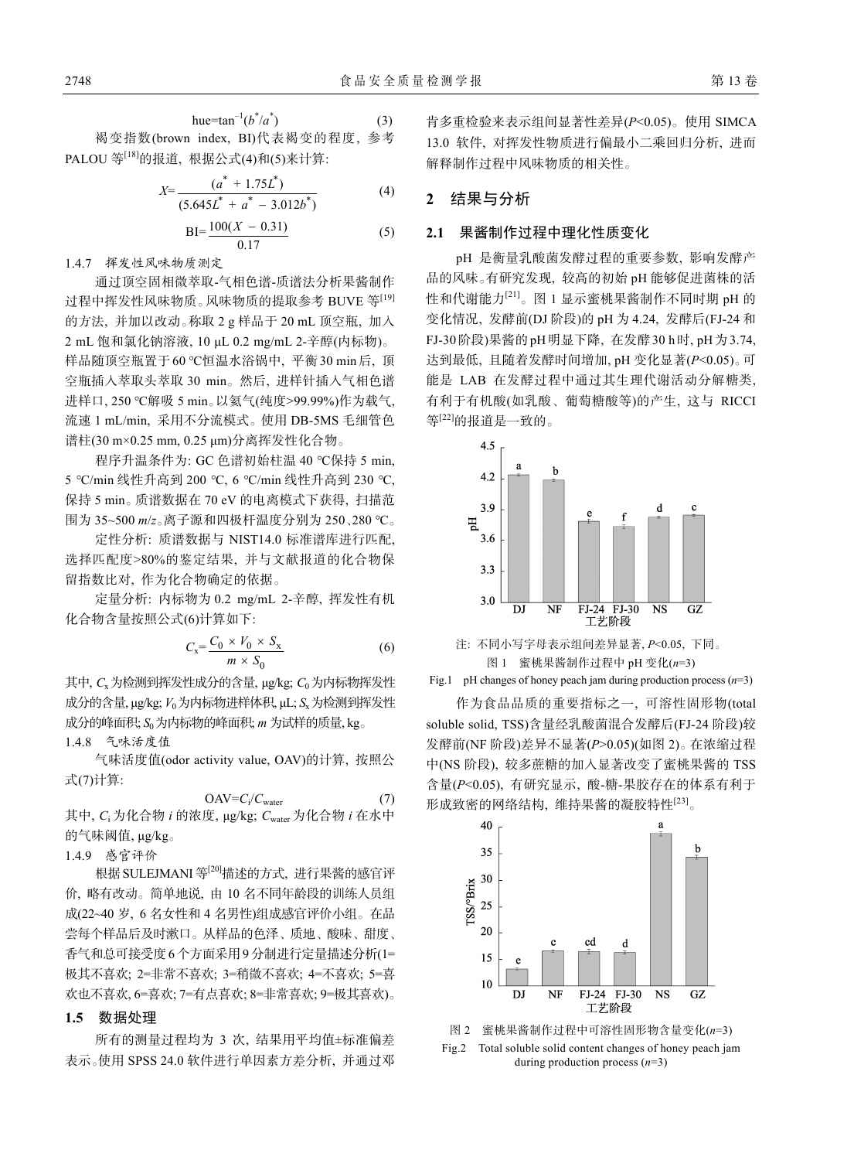hue=tan<sup>-1</sup>( $b^*/a^*$  $(3)$ 褐变指数(brown index, BI)代表褐变的程度, 参考 PALOU 等[18]的报道, 根据公式(4)和(5)来计算:

$$
X = \frac{(a^* + 1.75L^*)}{(5.645L^* + a^* - 3.012b^*)}
$$
(4)

$$
BI = \frac{100(X - 0.31)}{0.17}
$$
 (5)

1.4.7 挥发性风味物质测定

通过顶空固相微萃取-气相色谱-质谱法分析果酱制作 过程中挥发性风味物质。风味物质的提取参考 BUVE 等[19] 的方法, 并加以改动。称取 2 g 样品于 20 mL 顶空瓶, 加入 2 mL 饱和氯化钠溶液, 10 μL 0.2 mg/mL 2-辛醇(内标物)。 样品随顶空瓶置于60 ℃恒温水浴锅中, 平衡30 min后, 顶 空瓶插入萃取头萃取 30 min。然后, 进样针插入气相色谱 进样口, 250 ℃解吸 5 min。以氦气(纯度>99.99%)作为载气, 流速 1 mL/min, 采用不分流模式。使用 DB-5MS 毛细管色 谱柱(30 m×0.25 mm, 0.25 μm)分离挥发性化合物。

程序升温条件为: GC 色谱初始柱温 40 ℃保持 5 min, 5 ℃/min 线性升高到 200 ℃, 6 ℃/min 线性升高到 230 ℃, 保持 5 min。质谱数据在 70 eV 的电离模式下获得, 扫描范 围为 35~500 *m*/*z*。离子源和四极杆温度分别为 250、280 ℃。

定性分析: 质谱数据与 NIST14.0 标准谱库进行匹配, 选择匹配度>80%的鉴定结果, 并与文献报道的化合物保 留指数比对, 作为化合物确定的依据。

定量分析: 内标物为 0.2 mg/mL 2-辛醇, 挥发性有机 化合物含量按照公式(6)计算如下:

$$
C_{\rm x} = \frac{C_0 \times V_0 \times S_{\rm x}}{m \times S_0} \tag{6}
$$

其中, *C<sub>x</sub>* 为检测到挥发性成分的含量, μg/kg; *C*<sub>0</sub> 为内标物挥发性 成分的含量, μg/kg; *V*0为内标物进样体积, μL; *S*x为检测到挥发性 成分的峰面积; *S*<sub>0</sub>为内标物的峰面积; *m* 为试样的质量, kg。 1.4.8 气味活度值

气味活度值(odor activity value, OAV)的计算, 按照公 式(7)计算:

$$
OAV = C_i/C_{water} \tag{7}
$$

其中, *C*<sup>i</sup> 为化合物 *i* 的浓度, μg/kg; *C*water 为化合物 *i* 在水中 的气味阈值, μg/kg。

1.4.9 感官评价

根据 SULEJMANI 等<sup>[20]</sup>描述的方式, 进行果酱的感官评 价, 略有改动。简单地说, 由 10 名不同年龄段的训练人员组 成(22~40 岁, 6 名女性和 4 名男性)组成感官评价小组。在品 尝每个样品后及时漱口。从样品的色泽、质地、酸味、甜度、 香气和总可接受度6 个方面采用9分制进行定量描述分析(1= 极其不喜欢; 2=非常不喜欢; 3=稍微不喜欢; 4=不喜欢; 5=喜 欢也不喜欢, 6=喜欢; 7=有点喜欢; 8=非常喜欢; 9=极其喜欢)。

### **1.5** 数据处理

所有的测量过程均为 3 次, 结果用平均值±标准偏差 表示。使用 SPSS 24.0 软件进行单因素方差分析, 并通过邓 肯多重检验来表示组间显著性差异(*P*<0.05)。使用 SIMCA 13.0 软件, 对挥发性物质进行偏最小二乘回归分析, 进而 解释制作过程中风味物质的相关性。

# **2** 结果与分析

### **2.1** 果酱制作过程中理化性质变化

pH 是衡量乳酸菌发酵过程的重要参数, 影响发酵产 品的风味。有研究发现, 较高的初始 pH 能够促进菌株的活 性和代谢能力[21]。图 1 显示蜜桃果酱制作不同时期 pH 的 变化情况, 发酵前(DJ 阶段)的 pH 为 4.24, 发酵后(FJ-24 和 FJ-30阶段)果酱的pH明显下降, 在发酵30 h时, pH为3.74, 达到最低, 且随着发酵时间增加, pH 变化显著(*P*<0.05)。可 能是 LAB 在发酵过程中通过其生理代谢活动分解糖类, 有利于有机酸(如乳酸、葡萄糖酸等)的产生, 这与 RICCI 等[22]的报道是一致的。





Fig.1 pH changes of honey peach jam during production process (*n*=3)

作为食品品质的重要指标之一, 可溶性固形物(total soluble solid, TSS)含量经乳酸菌混合发酵后(FJ-24 阶段)较 发酵前(NF 阶段)差异不显著(*P*>0.05)(如图 2)。在浓缩过程 中(NS 阶段), 较多蔗糖的加入显著改变了蜜桃果酱的 TSS 含量(*P*<0.05), 有研究显示, 酸-糖-果胶存在的体系有利于 形成致密的网络结构, 维持果酱的凝胶特性[23]。



图 2 蜜桃果酱制作过程中可溶性固形物含量变化(*n*=3) Fig.2 Total soluble solid content changes of honey peach jam during production process (*n*=3)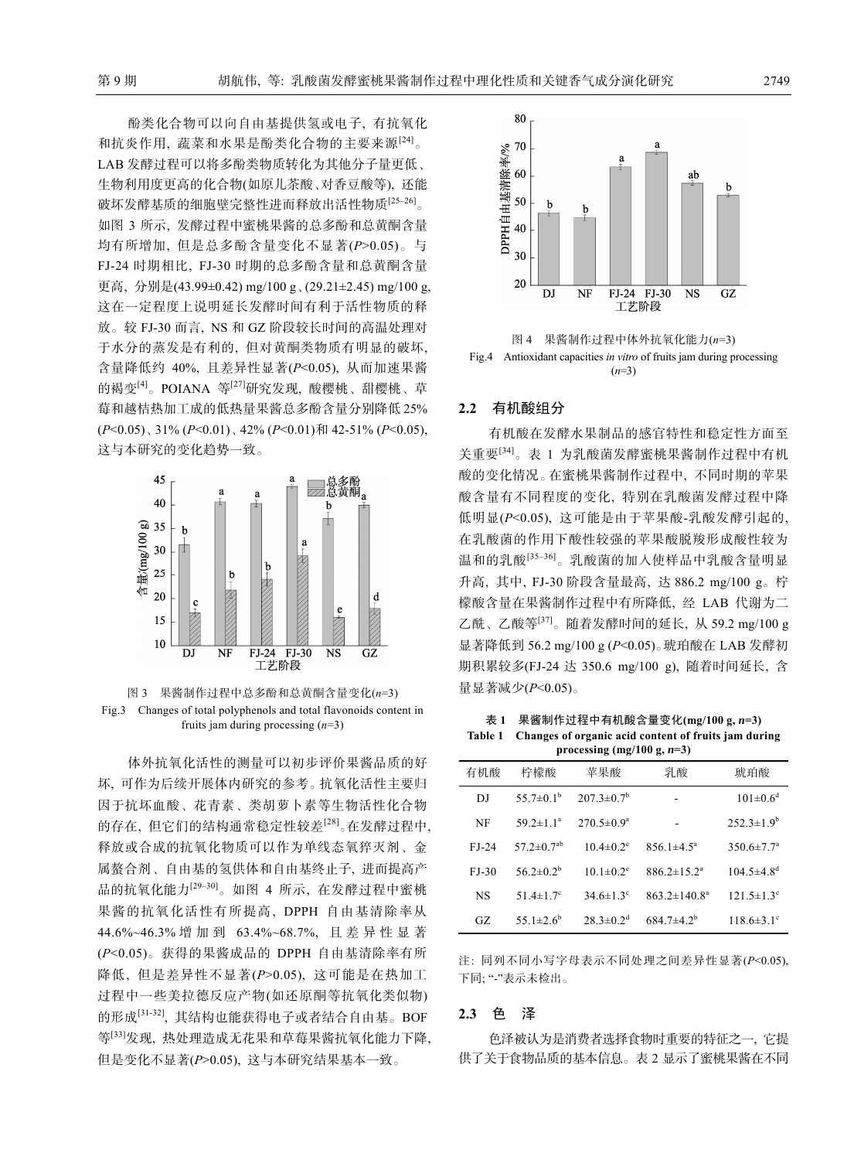酚类化合物可以向自由基提供氢或电子, 有抗氧化 和抗炎作用, 蔬菜和水果是酚类化合物的主要来源[24]。 LAB 发酵过程可以将多酚类物质转化为其他分子量更低、 生物利用度更高的化合物(如原儿茶酸、对香豆酸等), 还能 破坏发酵基质的细胞壁完整性进而释放出活性物质[25-26]。 如图 3 所示, 发酵过程中蜜桃果酱的总多酚和总黄酮含量 均有所增加, 但是总多酚含量变化不显著(*P*>0.05)。与 FJ-24 时期相比, FJ-30 时期的总多酚含量和总黄酮含量 更高, 分别是(43.99±0.42) mg/100 g、(29.21±2.45) mg/100 g, 这在一定程度上说明延长发酵时间有利于活性物质的释 放。较 FJ-30 而言, NS 和 GZ 阶段较长时间的高温处理对 于水分的蒸发是有利的, 但对黄酮类物质有明显的破坏, 含量降低约 40%, 且差异性显著(*P*<0.05), 从而加速果酱 的褐变<sup>[4]</sup>。POIANA 等<sup>[27]</sup>研究发现, 酸樱桃、甜樱桃、草 莓和越桔热加工成的低热量果酱总多酚含量分别降低 25% (*P*<0.05)、31% (*P*<0.01)、42% (*P*<0.01)和 42-51% (*P*<0.05), 这与本研究的变化趋势一致。





体外抗氧化活性的测量可以初步评价果酱品质的好 坏, 可作为后续开展体内研究的参考。抗氧化活性主要归 因于抗坏血酸、花青素、类胡萝卜素等生物活性化合物 的存在, 但它们的结构通常稳定性较差[28]。在发酵过程中, 释放或合成的抗氧化物质可以作为单线态氧猝灭剂、金 属螯合剂、自由基的氢供体和自由基终止子, 进而提高产 品的抗氧化能力[29‒30]。如图 4 所示, 在发酵过程中蜜桃 果酱的抗氧化活性有所提高, DPPH 自由基清除率从 44.6%~46.3% 增加到 63.4%~68.7%, 且差异性显著 (*P*<0.05)。获得的果酱成品的 DPPH 自由基清除率有所 降低, 但是差异性不显著(*P*>0.05), 这可能是在热加工 过程中一些美拉德反应产物(如还原酮等抗氧化类似物) 的形成[31-32], 其结构也能获得电子或者结合自由基。BOF 等[33]发现, 热处理造成无花果和草莓果酱抗氧化能力下降, 但是变化不显著(*P*>0.05), 这与本研究结果基本一致。



图 4 果酱制作过程中体外抗氧化能力(*n*=3) Fig.4 Antioxidant capacities *in vitro* of fruits jam during processing (*n*=3)

## **2.2** 有机酸组分

有机酸在发酵水果制品的感官特性和稳定性方面至 关重要[34]。表 1 为乳酸菌发酵蜜桃果酱制作过程中有机 酸的变化情况。在蜜桃果酱制作过程中, 不同时期的苹果 酸含量有不同程度的变化, 特别在乳酸菌发酵过程中降 低明显(*P*<0.05), 这可能是由于苹果酸-乳酸发酵引起的, 在乳酸菌的作用下酸性较强的苹果酸脱羧形成酸性较为 温和的乳酸[35‒36]。乳酸菌的加入使样品中乳酸含量明显 升高, 其中, FJ-30 阶段含量最高, 达 886.2 mg/100 g。柠 檬酸含量在果酱制作过程中有所降低, 经 LAB 代谢为二 乙酰、乙酸等[37]。随着发酵时间的延长, 从 59.2 mg/100 g 显著降低到 56.2 mg/100 g (*P*<0.05)。琥珀酸在 LAB 发酵初 期积累较多(FJ-24 达 350.6 mg/100 g), 随着时间延长, 含 量显著减少(*P*<0.05)。

表 **1** 果酱制作过程中有机酸含量变化**(mg/100 g,** *n***=3) Table 1 Changes of organic acid content of fruits jam during processing (mg/100 g,** *n***=3)** 

|         | $P_{1}$ occasing $(m_{2}$ 100 g, $n = 0$ |                              |                         |                              |  |  |  |
|---------|------------------------------------------|------------------------------|-------------------------|------------------------------|--|--|--|
| 有机酸     | 柠檬酸                                      | 苹果酸                          | 乳酸                      | 琥珀酸                          |  |  |  |
| DJ      | $55.7 \pm 0.1^{\rm b}$                   | $207.3 \pm 0.7^b$            |                         | $101 \pm 0.6^d$              |  |  |  |
| NF      | $59.2 \pm 1.1^a$                         | $270.5 \pm 0.9^{\mathrm{a}}$ |                         | $252.3 \pm 1.9^b$            |  |  |  |
| $FJ-24$ | $57.2 \pm 0.7^{ab}$                      | $10.4 \pm 0.2$ <sup>e</sup>  | $856.1 \pm 4.5^{\circ}$ | $350.6 \pm 7.7^{\circ}$      |  |  |  |
| $FJ-30$ | $56.2 \pm 0.2^b$                         | $10.1 \pm 0.2$ <sup>e</sup>  | $886.2 \pm 15.2^a$      | $104.5 \pm 4.8$ <sup>d</sup> |  |  |  |
| NS      | 51.4 $\pm$ 1.7°                          | $34.6 \pm 1.3$ °             | $863.2 \pm 140.8^a$     | $121.5 \pm 1.3$ °            |  |  |  |
| GZ.     | 55.1 $\pm$ 2.6 <sup>b</sup>              | $28.3 \pm 0.2$ <sup>d</sup>  | $684.7\pm4.2^b$         | $118.6 \pm 3.1^{\circ}$      |  |  |  |

注: 同列不同小写字母表示不同处理之间差异性显著(*P*<0.05), 下同; "-"表示未检出。

#### **2.3** 色 泽

色泽被认为是消费者选择食物时重要的特征之一, 它提 供了关于食物品质的基本信息。表 2 显示了蜜桃果酱在不同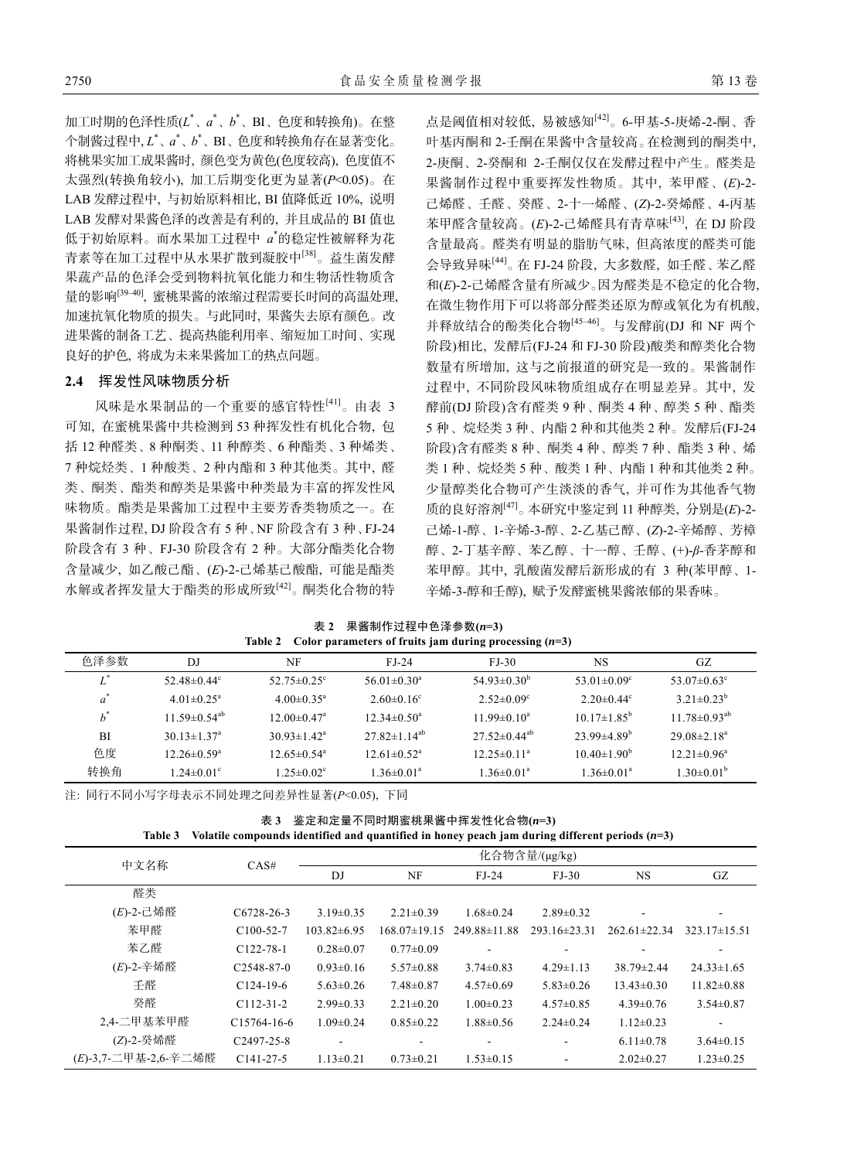加工时期的色泽性质(*L*\* 、*a*\* 、*b*\* 、BI、色度和转换角)。在整 个制酱过程中, *L*\* 、*a*\* 、*b*\* 、BI、色度和转换角存在显著变化。 将桃果实加工成果酱时, 颜色变为黄色(色度较高), 色度值不 太强烈(转换角较小), 加工后期变化更为显著(*P*<0.05)。在 LAB 发酵过程中, 与初始原料相比, BI 值降低近 10%, 说明 LAB 发酵对果酱色泽的改善是有利的, 并且成品的 BI 值也 低于初始原料。而水果加工过程中 *a*\* 的稳定性被解释为花 青素等在加工过程中从水果扩散到凝胶中[38]。益生菌发酵 果蔬产品的色泽会受到物料抗氧化能力和生物活性物质含 量的影响<sup>[39–40]</sup>, 蜜桃果酱的浓缩过程需要长时间的高温处理, 加速抗氧化物质的损失。与此同时, 果酱失去原有颜色。改 进果酱的制备工艺、提高热能利用率、缩短加工时间、实现 良好的护色, 将成为未来果酱加工的热点问题。

### **2.4** 挥发性风味物质分析

风味是水果制品的一个重要的感官特性[41]。由表 3 可知, 在蜜桃果酱中共检测到 53 种挥发性有机化合物, 包 括 12 种醛类、8 种酮类、11 种醇类、6 种酯类、3 种烯类、 7 种烷烃类、1 种酸类、2 种内酯和 3 种其他类。其中, 醛 类、酮类、酯类和醇类是果酱中种类最为丰富的挥发性风 味物质。酯类是果酱加工过程中主要芳香类物质之一。在 果酱制作过程, DJ 阶段含有 5 种、NF 阶段含有 3 种、FJ-24 阶段含有 3 种、FJ-30 阶段含有 2 种。大部分酯类化合物 含量减少, 如乙酸己酯、(*E*)-2-己烯基己酸酯, 可能是酯类 水解或者挥发量大于酯类的形成所致[42]。酮类化合物的特 点是阈值相对较低, 易被感知[42]。6-甲基-5-庚烯-2-酮、香 叶基丙酮和 2-壬酮在果酱中含量较高。在检测到的酮类中, 2-庚酮、2-癸酮和 2-壬酮仅仅在发酵过程中产生。醛类是 果酱制作过程中重要挥发性物质。其中, 苯甲醛、(*E*)-2- 己烯醛、壬醛、癸醛、2-十一烯醛、(*Z*)-2-癸烯醛、4-丙基 苯甲醛含量较高。(E)-2-己烯醛具有青草味<sup>[43]</sup>, 在 DJ 阶段 含量最高。醛类有明显的脂肪气味, 但高浓度的醛类可能 会导致异味[44]。在 FJ-24 阶段, 大多数醛, 如壬醛、苯乙醛 和(*E*)-2-己烯醛含量有所减少。因为醛类是不稳定的化合物, 在微生物作用下可以将部分醛类还原为醇或氧化为有机酸, 并释放结合的酚类化合物<sup>[45-46]</sup>。与发酵前(DJ 和 NF 两个 阶段)相比, 发酵后(FJ-24 和 FJ-30 阶段)酸类和醇类化合物 数量有所增加, 这与之前报道的研究是一致的。果酱制作 过程中, 不同阶段风味物质组成存在明显差异。其中, 发 酵前(DJ 阶段)含有醛类 9 种、酮类 4 种、醇类 5 种、酯类 5 种、烷烃类 3 种、内酯 2 种和其他类 2 种。发酵后(FJ-24 阶段)含有醛类 8 种、酮类 4 种、醇类 7 种、酯类 3 种、烯 类 1 种、烷烃类 5 种、酸类 1 种、内酯 1 种和其他类 2 种。 少量醇类化合物可产生淡淡的香气, 并可作为其他香气物 质的良好溶剂[47]。本研究中鉴定到 11 种醇类, 分别是(*E*)-2- 己烯-1-醇、1-辛烯-3-醇、2-乙基己醇、(*Z*)-2-辛烯醇、芳樟 醇、2-丁基辛醇、苯乙醇、十一醇、壬醇、(+)-*β*-香茅醇和 苯甲醇。其中, 乳酸菌发酵后新形成的有 3 种(苯甲醇、1- 辛烯-3-醇和壬醇), 赋予发酵蜜桃果酱浓郁的果香味。

表 **2** 果酱制作过程中色泽参数**(***n***=3) Table 2 Color parameters of fruits jam during processing (***n***=3)** 

| DJ                             | NF                            | $FJ-24$                       | $FJ-30$                        | <b>NS</b>                | GZ.                           |
|--------------------------------|-------------------------------|-------------------------------|--------------------------------|--------------------------|-------------------------------|
| 52.48 $\pm$ 0.44 $\degree$     | $52.75 \pm 0.25$ °            | $56.01 \pm 0.30^{\circ}$      | $54.93\pm0.30^b$               | 53.01 $\pm$ 0.09°        | 53.07 $\pm$ 0.63 $^{\circ}$   |
| $4.01 \pm 0.25$ <sup>a</sup>   | $4.00 \pm 0.35$ <sup>a</sup>  | $2.60 \pm 0.16$ °             | $2.52 \pm 0.09$ <sup>c</sup>   | $2.20 \pm 0.44$ °        | $3.21 \pm 0.23^b$             |
| 11.59 $\pm$ 0.54 <sup>ab</sup> | $12.00 \pm 0.47$ <sup>a</sup> | $12.34 \pm 0.50^{\circ}$      | $11.99 \pm 0.10^a$             | $10.17\pm1.85^{\rm b}$   | $11.78 \pm 0.93^{ab}$         |
| $30.13 \pm 1.37$ <sup>a</sup>  | $30.93 \pm 1.42^{\circ}$      | $27.82 \pm 1.14^{ab}$         | $27.52 \pm 0.44$ <sup>ab</sup> | $23.99\pm4.89^{\rm b}$   | $29.08 \pm 2.18$ <sup>a</sup> |
| $12.26 \pm 0.59^{\circ}$       | $12.65 \pm 0.54$ <sup>a</sup> | $12.61 \pm 0.52$ <sup>a</sup> | $12.25 \pm 0.11^a$             | $10.40 \pm 1.90^{\circ}$ | $12.21 \pm 0.96^a$            |
| $1.24 \pm 0.01$ °              | $1.25 \pm 0.02$ <sup>c</sup>  | $1.36 \pm 0.01^a$             | $1.36 \pm 0.01$ <sup>a</sup>   | $1.36 \pm 0.01^a$        | $1.30 \pm 0.01^{\rm b}$       |
|                                |                               |                               |                                |                          |                               |

注: 同行不同小写字母表示不同处理之间差异性显著(*P*<0.05), 下同

表 **3** 鉴定和定量不同时期蜜桃果酱中挥发性化合物**(***n***=3) Table 3 Volatile compounds identified and quantified in honey peach jam during different periods (***n***=3)** 

| 中文名称                 | CAS#                    | 化合物含量/(µg/kg)     |                    |                    |                              |                    |                  |  |  |
|----------------------|-------------------------|-------------------|--------------------|--------------------|------------------------------|--------------------|------------------|--|--|
|                      |                         | DJ                | NF                 | $FJ-24$            | $FJ-30$                      | <b>NS</b>          | GZ               |  |  |
| 醛类                   |                         |                   |                    |                    |                              |                    |                  |  |  |
| $(E)$ -2-己烯醛         | $C6728-26-3$            | $3.19\pm0.35$     | $2.21 \pm 0.39$    | $1.68 \pm 0.24$    | $2.89 \pm 0.32$              |                    |                  |  |  |
| 苯甲醛                  | $C100-52-7$             | $103.82 \pm 6.95$ | $168.07 \pm 19.15$ | $249.88 \pm 11.88$ | $293.16 \pm 23.31$           | $262.61 \pm 22.34$ | $323.17\pm15.51$ |  |  |
| 苯乙醛                  | $C122 - 78 - 1$         | $0.28 \pm 0.07$   | $0.77 \pm 0.09$    |                    |                              |                    |                  |  |  |
| (E)-2-辛烯醛            | $C2548-87-0$            | $0.93 \pm 0.16$   | $5.57 \pm 0.88$    | $3.74 \pm 0.83$    | $4.29 \pm 1.13$              | $38.79 \pm 2.44$   | $24.33 \pm 1.65$ |  |  |
| 壬醛                   | $C124-19-6$             | $5.63 \pm 0.26$   | $7.48 \pm 0.87$    | $4.57 \pm 0.69$    | $5.83 \pm 0.26$              | $13.43 \pm 0.30$   | $11.82 \pm 0.88$ |  |  |
| 癸醛                   | $C112-31-2$             | $2.99 \pm 0.33$   | $2.21 \pm 0.20$    | $1.00 \pm 0.23$    | $4.57 \pm 0.85$              | $4.39 \pm 0.76$    | $3.54 \pm 0.87$  |  |  |
| 2,4-二甲基苯甲醛           | $C15764-16-6$           | $1.09 \pm 0.24$   | $0.85 \pm 0.22$    | $1.88 \pm 0.56$    | $2.24 \pm 0.24$              | $1.12 \pm 0.23$    |                  |  |  |
| (Z)-2-癸烯醛            | C <sub>2497</sub> -25-8 | ۰                 |                    |                    | $\overline{\phantom{a}}$     | $6.11 \pm 0.78$    | $3.64\pm0.15$    |  |  |
| (E)-3.7-二甲基-2.6-辛二烯醛 | $C141-27-5$             | $1.13 \pm 0.21$   | $0.73 \pm 0.21$    | $1.53 \pm 0.15$    | $\qquad \qquad \blacksquare$ | $2.02 \pm 0.27$    | $1.23 \pm 0.25$  |  |  |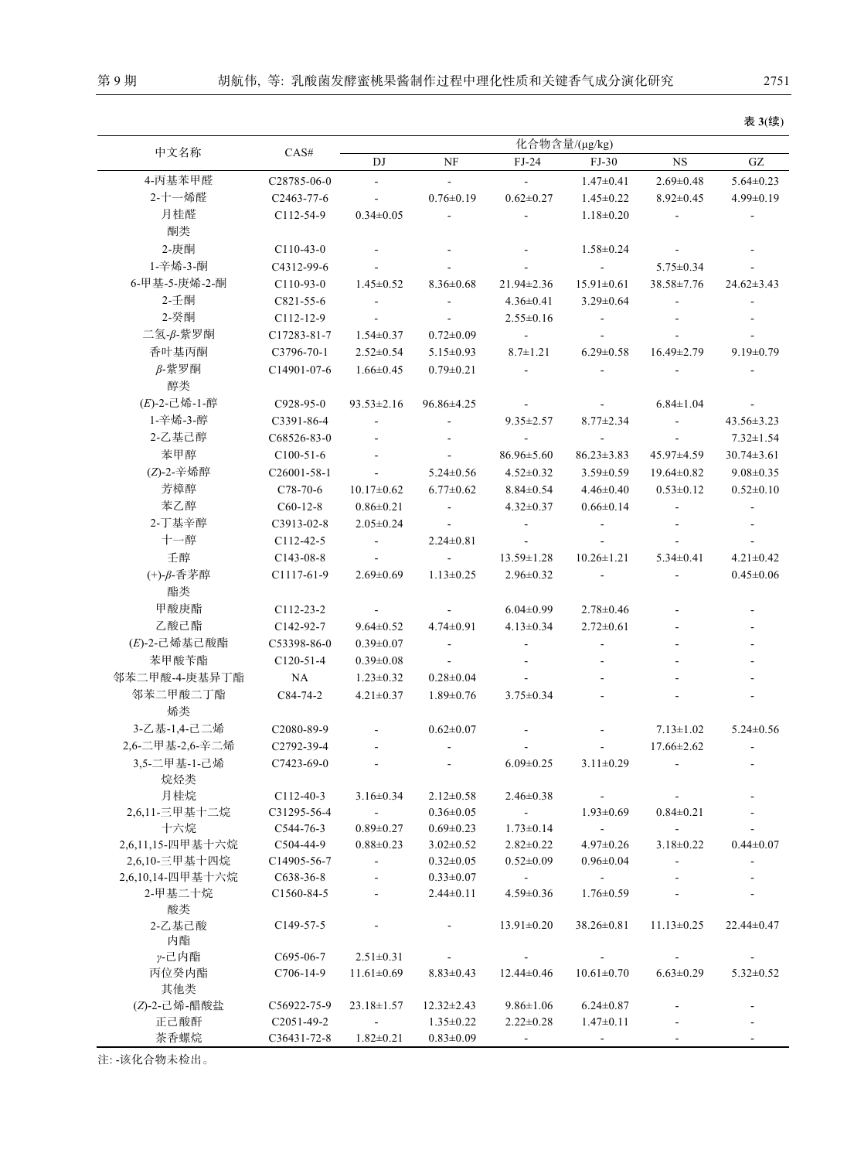|                  |                          | 化合物含量/(µg/kg)            |                          |                          |                         |                          |                          |
|------------------|--------------------------|--------------------------|--------------------------|--------------------------|-------------------------|--------------------------|--------------------------|
| 中文名称             | CAS#                     | DJ                       | NF                       | $FJ-24$                  | $FJ-30$                 | $_{\rm NS}$              | $\mathbf{G}\mathbf{Z}$   |
| 4-丙基苯甲醛          | C28785-06-0              | $\mathbf{r}$             | $\mathbb{L}$             | $\omega_{\rm c}$         | $1.47 \pm 0.41$         | $2.69 \pm 0.48$          | $5.64 \pm 0.23$          |
| 2-十一烯醛           | C <sub>2463</sub> -77-6  | $\blacksquare$           | $0.76 \pm 0.19$          | $0.62 \pm 0.27$          | $1.45 \pm 0.22$         | $8.92 \pm 0.45$          | $4.99 \pm 0.19$          |
| 月桂醛              | $C112-54-9$              | $0.34 \pm 0.05$          | $\blacksquare$           |                          | $1.18 \pm 0.20$         |                          |                          |
| 酮类               |                          |                          |                          |                          |                         |                          |                          |
| 2-庚酮             | $C110-43-0$              |                          |                          |                          | $1.58 \pm 0.24$         |                          |                          |
| 1-辛烯-3-酮         | C4312-99-6               |                          |                          |                          | $\sim$                  | $5.75 \pm 0.34$          |                          |
| 6-甲基-5-庚烯-2-酮    | $C110-93-0$              | $1.45 \pm 0.52$          | $8.36 \pm 0.68$          | 21.94±2.36               | $15.91 \pm 0.61$        | 38.58±7.76               | $24.62 \pm 3.43$         |
| 2-千酮             | C821-55-6                | $\omega$                 | $\overline{\phantom{a}}$ | $4.36 \pm 0.41$          | $3.29 \pm 0.64$         | $\blacksquare$           | $\overline{\phantom{a}}$ |
| 2-癸酮             | $C112-12-9$              | $\blacksquare$           | $\blacksquare$           | $2.55 \pm 0.16$          |                         |                          |                          |
| 二氢-β-紫罗酮         | C17283-81-7              | $1.54 \pm 0.37$          | $0.72 \pm 0.09$          | $\sim$                   |                         |                          |                          |
| 香叶基丙酮            | $C3796-70-1$             | $2.52 \pm 0.54$          | $5.15 \pm 0.93$          | $8.7 \pm 1.21$           | $6.29 \pm 0.58$         | $16.49 \pm 2.79$         | $9.19 \pm 0.79$          |
| $\beta$ -紫罗酮     | C14901-07-6              | $1.66 \pm 0.45$          | $0.79 \pm 0.21$          | $\blacksquare$           |                         |                          |                          |
| 醇类               |                          |                          |                          |                          |                         |                          |                          |
| $(E)$ -2-己烯-1-醇  | $C928-95-0$              | $93.53 \pm 2.16$         | $96.86 \pm 4.25$         | $\bullet$                |                         | $6.84 \pm 1.04$          |                          |
| 1-辛烯-3-醇         | C3391-86-4               | $\overline{\phantom{a}}$ | ÷,                       | $9.35 \pm 2.57$          | $8.77 \pm 2.34$         | $\omega$                 | $43.56 \pm 3.23$         |
| 2-乙基己醇           | C68526-83-0              |                          |                          | $\sim$                   |                         |                          | $7.32 \pm 1.54$          |
| 苯甲醇              | $C100-51-6$              |                          | $\overline{\phantom{a}}$ | $86.96 \pm 5.60$         | $86.23 \pm 3.83$        | 45.97±4.59               | $30.74 \pm 3.61$         |
| (Z)-2-辛烯醇        | C <sub>26001</sub> -58-1 | $\blacksquare$           | $5.24 \pm 0.56$          | $4.52 \pm 0.32$          | $3.59 \pm 0.59$         | $19.64 \pm 0.82$         | $9.08 \pm 0.35$          |
| 芳樟醇              | $C78-70-6$               | $10.17 \pm 0.62$         | $6.77 \pm 0.62$          | $8.84 \pm 0.54$          | $4.46 \pm 0.40$         | $0.53 \pm 0.12$          | $0.52 \pm 0.10$          |
| 苯乙醇              | $C60-12-8$               | $0.86 \pm 0.21$          | $\blacksquare$           | $4.32 \pm 0.37$          | $0.66 \pm 0.14$         |                          |                          |
| 2-丁基辛醇           | C3913-02-8               | $2.05 \pm 0.24$          |                          |                          |                         |                          |                          |
| 十一醇              | $C112-42-5$              | $\blacksquare$           | $2.24 \pm 0.81$          | $\blacksquare$           |                         |                          |                          |
| 壬醇               | $C143-08-8$              | $\blacksquare$           | $\sim$                   | $13.59 \pm 1.28$         | $10.26 \pm 1.21$        | $5.34 \pm 0.41$          | $4.21 \pm 0.42$          |
| (+)-β-香茅醇        | C <sub>1117</sub> -61-9  | $2.69 \pm 0.69$          | $1.13 \pm 0.25$          | $2.96 \pm 0.32$          | $\blacksquare$          |                          | $0.45 \pm 0.06$          |
| 酯类               |                          |                          |                          |                          |                         |                          |                          |
| 甲酸庚酯             | $C112-23-2$              | $\overline{\phantom{a}}$ |                          | $6.04 \pm 0.99$          | $2.78 \pm 0.46$         |                          |                          |
| 乙酸己酯             | C142-92-7                | $9.64 \pm 0.52$          | $4.74 \pm 0.91$          | $4.13 \pm 0.34$          | $2.72 \pm 0.61$         |                          |                          |
| $(E)$ -2-己烯基己酸酯  | C53398-86-0              | $0.39 \pm 0.07$          | $\blacksquare$           |                          |                         |                          |                          |
| 苯甲酸苄酯            | $C120-51-4$              | $0.39 \pm 0.08$          | $\omega$                 |                          |                         |                          |                          |
| 邻苯二甲酸-4-庚基异丁酯    | NA                       | $1.23 \pm 0.32$          | $0.28 + 0.04$            | $\overline{\phantom{a}}$ |                         |                          |                          |
| 邻苯二甲酸二丁酯         | C84-74-2                 | $4.21 \pm 0.37$          | $1.89 \pm 0.76$          | $3.75 \pm 0.34$          |                         |                          |                          |
| 烯类               |                          |                          |                          |                          |                         |                          |                          |
| 3-乙基-1,4-己二烯     | C2080-89-9               |                          | $0.62 \pm 0.07$          |                          |                         | $7.13 \pm 1.02$          | $5.24 \pm 0.56$          |
| 2,6-二甲基-2,6-辛二烯  | C2792-39-4               |                          |                          |                          |                         | $17.66 \pm 2.62$         | $\overline{\phantom{a}}$ |
| 3,5-二甲基-1-己烯     | $C7423-69-0$             | $\overline{\phantom{a}}$ |                          | $6.09 \pm 0.25$          | $3.11 \pm 0.29$         | $\overline{\phantom{a}}$ |                          |
| 烷烃类              |                          |                          |                          |                          |                         |                          |                          |
| 月桂烷              | $C112-40-3$              | $3.16 \pm 0.34$          | $2.12 \pm 0.58$          | $2.46 \pm 0.38$          | $\sim$                  | $\blacksquare$           |                          |
| 2,6,11-三甲基十二烷    | C31295-56-4              |                          | $0.36 \pm 0.05$          | $\sim$                   | $1.93 \pm 0.69$         | $0.84 \pm 0.21$          |                          |
| 十六烷              | $C$ 544-76-3             | $0.89 \pm 0.27$          | $0.69 \pm 0.23$          | $1.73 \pm 0.14$          | $\sim 100$ km s $^{-1}$ | $\sim$                   |                          |
| 2,6,11,15-四甲基十六烷 | $C504-44-9$              | $0.88 \pm 0.23$          | $3.02 \pm 0.52$          | $2.82 \pm 0.22$          | $4.97 \pm 0.26$         | $3.18 \pm 0.22$          | $0.44 \pm 0.07$          |
| 2,6,10-三甲基十四烷    | C <sub>14905</sub> -56-7 | $\blacksquare$           | $0.32 \pm 0.05$          | $0.52 \pm 0.09$          | $0.96 \pm 0.04$         |                          |                          |
| 2,6,10,14-四甲基十六烷 | $C638-36-8$              | $\overline{\phantom{a}}$ | $0.33 \pm 0.07$          | $\sim 100$               | $\sim$ $-$              |                          |                          |
| 2-甲基二十烷          | C <sub>1560</sub> -84-5  |                          | $2.44 \pm 0.11$          | $4.59 \pm 0.36$          | $1.76 \pm 0.59$         |                          |                          |
| 酸类               |                          |                          |                          |                          |                         |                          |                          |
| 2-乙基己酸<br>内酯     | C149-57-5                |                          | $\blacksquare$           | $13.91 \pm 0.20$         | $38.26 \pm 0.81$        | $11.13 \pm 0.25$         | $22.44 \pm 0.47$         |
| γ-己内酯            | $C695-06-7$              | $2.51 \pm 0.31$          | $\blacksquare$           |                          |                         |                          |                          |
| 丙位癸内酯            | C706-14-9                | $11.61 \pm 0.69$         | $8.83 \pm 0.43$          | $12.44 \pm 0.46$         | $10.61 \pm 0.70$        | $6.63 \pm 0.29$          | $5.32 \pm 0.52$          |
| 其他类              |                          |                          |                          |                          |                         |                          |                          |
| (Z)-2-己烯-醋酸盐     | C56922-75-9              | $23.18 \pm 1.57$         | $12.32 \pm 2.43$         | $9.86 \pm 1.06$          | $6.24 \pm 0.87$         |                          |                          |
| 正己酸酐             | $C2051-49-2$             | $\sim 100$               | $1.35 \pm 0.22$          | $2.22 \pm 0.28$          | $1.47 \pm 0.11$         |                          |                          |
| 茶香螺烷             | C36431-72-8              | $1.82 \pm 0.21$          | $0.83 \pm 0.09$          | $\blacksquare$           | $\blacksquare$          |                          |                          |

注: -该化合物未检出。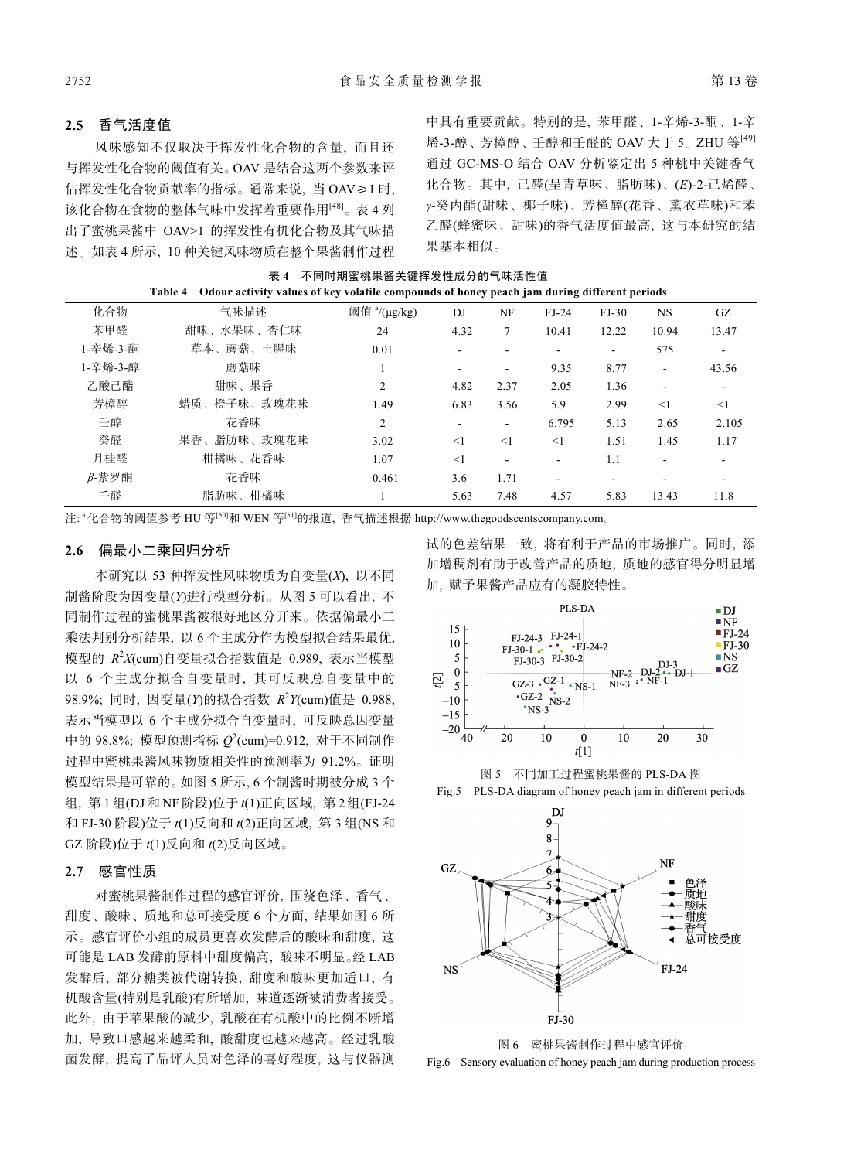#### **2.5** 香气活度值

风味感知不仅取决于挥发性化合物的含量, 而且还 与挥发性化合物的阈值有关。OAV 是结合这两个参数来评 估挥发性化合物贡献率的指标。通常来说, 当 OAV≥1 时, 该化合物在食物的整体气味中发挥着重要作用[48]。表 4 列 出了蜜桃果酱中 OAV>1 的挥发性有机化合物及其气味描 述。如表 4 所示, 10 种关键风味物质在整个果酱制作过程

中具有重要贡献。特别的是, 苯甲醛、1-辛烯-3-酮、1-辛 烯-3-醇、芳樟醇、壬醇和壬醛的 OAV 大于 5。ZHU 等[49] 通过 GC-MS-O 结合 OAV 分析鉴定出 5 种桃中关键香气 化合物。其中, 己醛(呈青草味、脂肪味)、(*E*)-2-己烯醛、 *γ*-癸内酯(甜味、椰子味)、芳樟醇(花香、薰衣草味)和苯 乙醛(蜂蜜味、甜味)的香气活度值最高, 这与本研究的结 果基本相似。

表 **4** 不同时期蜜桃果酱关键挥发性成分的气味活性值 **Table 4 Odour activity values of key volatile compounds of honey peach jam during different periods** 

| access, salary of my somme compounds of honey peach jain warmy annotent perfous |             |                          |       |                          |         |                          |       |       |
|---------------------------------------------------------------------------------|-------------|--------------------------|-------|--------------------------|---------|--------------------------|-------|-------|
| 化合物                                                                             | 气味描述        | 阈值 <sup>a</sup> /(μg/kg) | DJ    | NF                       | $FJ-24$ | $FJ-30$                  | NS.   | GZ    |
| 苯甲醛                                                                             | 甜味、水果味、杏仁味  | 24                       | 4.32  |                          | 10.41   | 12.22                    | 10.94 | 13.47 |
| 1-辛烯-3-酮                                                                        | 草本、蘑菇、土腥味   | 0.01                     |       |                          | ۰       | ۰                        | 575   |       |
| 1-辛烯-3-醇                                                                        | 蘑菇味         |                          |       |                          | 9.35    | 8.77                     | Ξ.    | 43.56 |
| 乙酸己酯                                                                            | 甜味、果香       | 2                        | 4.82  | 2.37                     | 2.05    | 1.36                     | ۰     | Ξ.    |
| 芳樟醇                                                                             | 蜡质、橙子味、玫瑰花味 | 1.49                     | 6.83  | 3.56                     | 5.9     | 2.99                     | <1    | <1    |
| 壬醇                                                                              | 花香味         | $\overline{2}$           |       | $\overline{\phantom{0}}$ | 6.795   | 5.13                     | 2.65  | 2.105 |
| 癸醛                                                                              | 果香、脂肪味、玫瑰花味 | 3.02                     | $<$ 1 | <1                       | $<$ 1   | 1.51                     | 1.45  | 1.17  |
| 月桂醛                                                                             | 柑橘味、花香味     | 1.07                     | <1    |                          | ٠       | 1.1                      |       |       |
| $\beta$ -紫罗酮                                                                    | 花香味         | 0.461                    | 3.6   | 1.71                     | ۰       | $\overline{\phantom{a}}$ |       |       |
| 壬醛                                                                              | 脂肪味、柑橘味     |                          | 5.63  | 7.48                     | 4.57    | 5.83                     | 13.43 | 11.8  |

注: " 化合物的阈值参考 HU 等<sup>[50]</sup>和 WEN 等<sup>[51]</sup>的报道, 香气描述根据 http://www.thegoodscentscompany.com。

# **2.6** 偏最小二乘回归分析

本研究以 53 种挥发性风味物质为自变量(*X*), 以不同 制酱阶段为因变量(*Y*)进行模型分析。从图 5 可以看出, 不 同制作过程的蜜桃果酱被很好地区分开来。依据偏最小二 乘法判别分析结果, 以 6 个主成分作为模型拟合结果最优, 模型的 *R*<sup>2</sup> *X*(cum)自变量拟合指数值是 0.989, 表示当模型 以 6 个主成分拟合自变量时, 其可反映总自变量中的 98.9%; 同时, 因变量(*Y*)的拟合指数 *R*<sup>2</sup> *Y*(cum)值是 0.988, 表示当模型以 6 个主成分拟合自变量时, 可反映总因变量 中的 98.8%; 模型预测指标  $Q^2$ (cum)=0.912, 对于不同制作 过程中蜜桃果酱风味物质相关性的预测率为 91.2%。证明 模型结果是可靠的。如图 5 所示, 6 个制酱时期被分成 3 个 组, 第 1 组(DJ 和 NF 阶段)位于 *t*(1)正向区域, 第 2 组(FJ-24 和 FJ-30 阶段)位于 *t*(1)反向和 *t*(2)正向区域, 第 3 组(NS 和 GZ 阶段)位于 *t*(1)反向和 *t*(2)反向区域。

#### **2.7** 感官性质

对蜜桃果酱制作过程的感官评价, 围绕色泽、香气、 甜度、酸味、质地和总可接受度 6 个方面, 结果如图 6 所 示。感官评价小组的成员更喜欢发酵后的酸味和甜度, 这 可能是 LAB 发酵前原料中甜度偏高, 酸味不明显。经 LAB 发酵后, 部分糖类被代谢转换, 甜度和酸味更加适口, 有 机酸含量(特别是乳酸)有所增加, 味道逐渐被消费者接受。 此外, 由于苹果酸的减少, 乳酸在有机酸中的比例不断增 加, 导致口感越来越柔和, 酸甜度也越来越高。经过乳酸 菌发酵, 提高了品评人员对色泽的喜好程度, 这与仪器测 试的色差结果一致, 将有利于产品的市场推广。同时, 添 加增稠剂有助于改善产品的质地, 质地的感官得分明显增 加, 赋予果酱产品应有的凝胶特性。









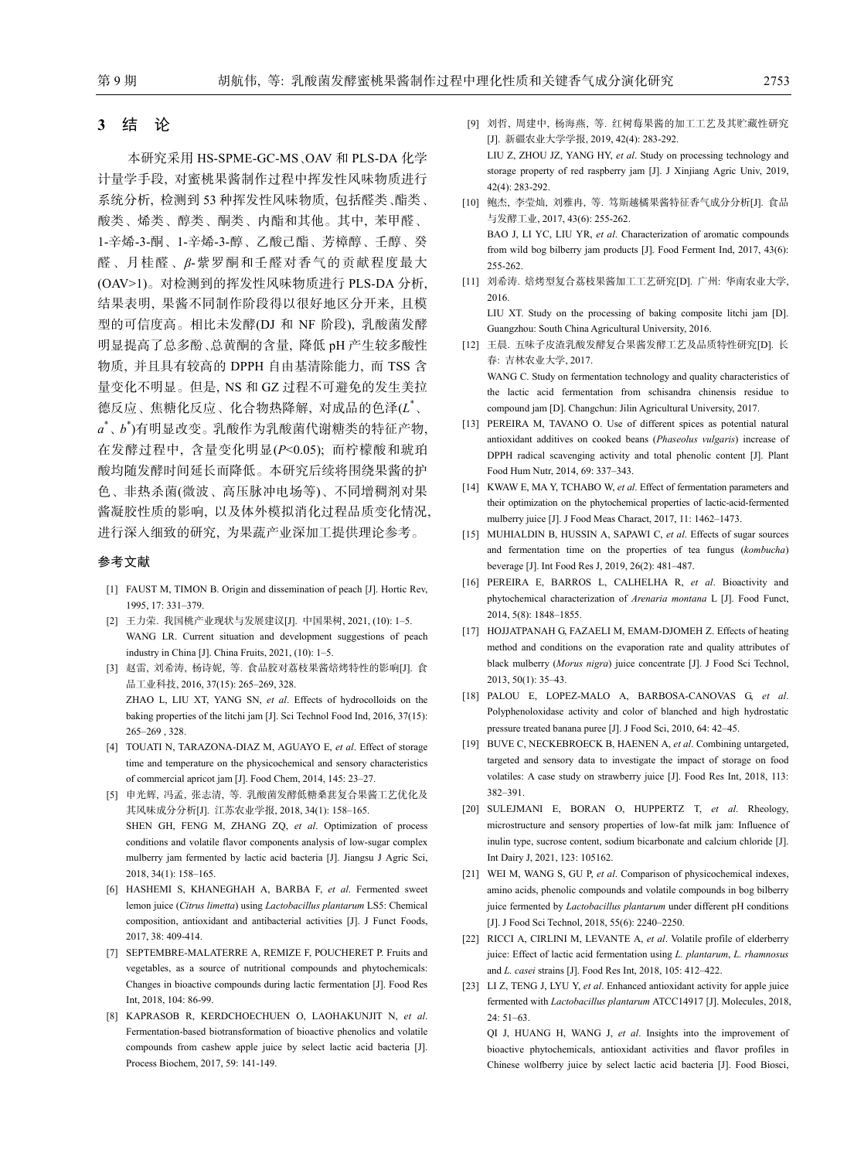255-262.

#### **3** 结 论

本研究采用 HS-SPME-GC-MS、OAV 和 PLS-DA 化学 计量学手段, 对蜜桃果酱制作过程中挥发性风味物质进行 系统分析, 检测到 53 种挥发性风味物质, 包括醛类、酯类、 酸类、烯类、醇类、酮类、内酯和其他。其中, 苯甲醛、 1-辛烯-3-酮、1-辛烯-3-醇、乙酸己酯、芳樟醇、壬醇、癸 醛、月桂醛、*β*-紫罗酮和壬醛对香气的贡献程度最大 (OAV>1)。对检测到的挥发性风味物质进行 PLS-DA 分析, 结果表明, 果酱不同制作阶段得以很好地区分开来, 且模 型的可信度高。相比未发酵(DJ 和 NF 阶段), 乳酸菌发酵 明显提高了总多酚、总黄酮的含量, 降低 pH 产生较多酸性 物质, 并且具有较高的 DPPH 自由基清除能力, 而 TSS 含 量变化不明显。但是, NS 和 GZ 过程不可避免的发生美拉 德反应、焦糖化反应、化合物热降解, 对成品的色泽(*L*\* 、 *a*\* 、*b*\* )有明显改变。乳酸作为乳酸菌代谢糖类的特征产物, 在发酵过程中, 含量变化明显(*P*<0.05); 而柠檬酸和琥珀 酸均随发酵时间延长而降低。本研究后续将围绕果酱的护 色、非热杀菌(微波、高压脉冲电场等)、不同增稠剂对果 酱凝胶性质的影响, 以及体外模拟消化过程品质变化情况, 进行深入细致的研究, 为果蔬产业深加工提供理论参考。

#### 参考文献

- [1] FAUST M, TIMON B. Origin and dissemination of peach [J]. Hortic Rev, 1995, 17: 331‒379.
- [2] 王力荣. 我国桃产业现状与发展建议[J]. 中国果树, 2021, (10): 1‒5. WANG LR. Current situation and development suggestions of peach industry in China [J]. China Fruits, 2021, (10): 1‒5.
- [3] 赵雷, 刘希涛, 杨诗妮, 等. 食品胶对荔枝果酱焙烤特性的影响[J]. 食 品工业科技, 2016, 37(15): 265‒269, 328. ZHAO L, LIU XT, YANG SN, *et al*. Effects of hydrocolloids on the baking properties of the litchi jam [J]. Sci Technol Food Ind, 2016, 37(15): 265–269 328
- [4] TOUATI N, TARAZONA-DIAZ M, AGUAYO E, *et al*. Effect of storage time and temperature on the physicochemical and sensory characteristics of commercial apricot jam [J]. Food Chem, 2014, 145: 23-27.
- [5] 申光辉, 冯孟, 张志清, 等. 乳酸菌发酵低糖桑葚复合果酱工艺优化及 其风味成分分析[J]. 江苏农业学报, 2018, 34(1): 158-165. SHEN GH, FENG M, ZHANG ZQ, *et al*. Optimization of process conditions and volatile flavor components analysis of low-sugar complex mulberry jam fermented by lactic acid bacteria [J]. Jiangsu J Agric Sci, 2018, 34(1): 158‒165.
- [6] HASHEMI S, KHANEGHAH A, BARBA F, *et al*. Fermented sweet lemon juice (*Citrus limetta*) using *Lactobacillus plantarum* LS5: Chemical composition, antioxidant and antibacterial activities [J]. J Funct Foods, 2017, 38: 409-414.
- [7] SEPTEMBRE-MALATERRE A, REMIZE F, POUCHERET P. Fruits and vegetables, as a source of nutritional compounds and phytochemicals: Changes in bioactive compounds during lactic fermentation [J]. Food Res Int, 2018, 104: 86-99.
- [8] KAPRASOB R, KERDCHOECHUEN O, LAOHAKUNJIT N, *et al*. Fermentation-based biotransformation of bioactive phenolics and volatile compounds from cashew apple juice by select lactic acid bacteria [J]. Process Biochem, 2017, 59: 141-149.
- [9] 刘哲, 周建中, 杨海燕, 等. 红树莓果酱的加工工艺及其贮藏性研究 [J]. 新疆农业大学学报, 2019, 42(4): 283-292. LIU Z, ZHOU JZ, YANG HY, *et al*. Study on processing technology and storage property of red raspberry jam [J]. J Xinjiang Agric Univ, 2019,  $42(4) \cdot 283 - 292$
- [10] 鲍杰, 李莹灿, 刘雅冉, 等. 笃斯越橘果酱特征香气成分分析[J]. 食品 与发酵工业, 2017, 43(6): 255-262. BAO J, LI YC, LIU YR, *et al*. Characterization of aromatic compounds from wild bog bilberry jam products [J]. Food Ferment Ind, 2017, 43(6):
- [11] 刘希涛. 焙烤型复合荔枝果酱加工工艺研究[D]. 广州: 华南农业大学, 2016.

LIU XT. Study on the processing of baking composite litchi jam [D]. Guangzhou: South China Agricultural University, 2016.

- [12] 王晨. 五味子皮渣乳酸发酵复合果酱发酵工艺及品质特性研究[D]. 长 春: 吉林农业大学, 2017. WANG C. Study on fermentation technology and quality characteristics of the lactic acid fermentation from schisandra chinensis residue to compound jam [D]. Changchun: Jilin Agricultural University, 2017.
- [13] PEREIRA M, TAVANO O. Use of different spices as potential natural antioxidant additives on cooked beans (*Phaseolus vulgaris*) increase of DPPH radical scavenging activity and total phenolic content [J]. Plant Food Hum Nutr, 2014, 69: 337‒343.
- [14] KWAW E, MA Y, TCHABO W, *et al*. Effect of fermentation parameters and their optimization on the phytochemical properties of lactic-acid-fermented mulberry juice [J]. J Food Meas Charact, 2017, 11: 1462-1473.
- [15] MUHIALDIN B, HUSSIN A, SAPAWI C, *et al*. Effects of sugar sources and fermentation time on the properties of tea fungus (*kombucha*) beverage [J]. Int Food Res J, 2019, 26(2): 481-487.
- [16] PEREIRA E, BARROS L, CALHELHA R, *et al*. Bioactivity and phytochemical characterization of *Arenaria montana* L [J]. Food Funct, 2014, 5(8): 1848‒1855.
- [17] HOJJATPANAH G, FAZAELI M, EMAM-DJOMEH Z. Effects of heating method and conditions on the evaporation rate and quality attributes of black mulberry (*Morus nigra*) juice concentrate [J]. J Food Sci Technol, 2013, 50(1): 35‒43.
- [18] PALOU E, LOPEZ-MALO A, BARBOSA-CANOVAS G, *et al*. Polyphenoloxidase activity and color of blanched and high hydrostatic pressure treated banana puree [J]. J Food Sci, 2010, 64: 42-45.
- [19] BUVE C, NECKEBROECK B, HAENEN A, *et al*. Combining untargeted, targeted and sensory data to investigate the impact of storage on food volatiles: A case study on strawberry juice [J]. Food Res Int, 2018, 113: 382‒391.
- [20] SULEJMANI E, BORAN O, HUPPERTZ T, *et al*. Rheology, microstructure and sensory properties of low-fat milk jam: Influence of inulin type, sucrose content, sodium bicarbonate and calcium chloride [J]. Int Dairy J, 2021, 123: 105162.
- [21] WEI M, WANG S, GU P, *et al*. Comparison of physicochemical indexes, amino acids, phenolic compounds and volatile compounds in bog bilberry juice fermented by *Lactobacillus plantarum* under different pH conditions [J]. J Food Sci Technol, 2018, 55(6): 2240-2250.
- [22] RICCI A, CIRLINI M, LEVANTE A, *et al*. Volatile profile of elderberry juice: Effect of lactic acid fermentation using *L. plantarum*, *L. rhamnosus* and *L. casei* strains [J]. Food Res Int, 2018, 105: 412-422.
- [23] LI Z, TENG J, LYU Y, *et al*. Enhanced antioxidant activity for apple juice fermented with *Lactobacillus plantarum* ATCC14917 [J]. Molecules, 2018,  $24.51 - 63$

QI J, HUANG H, WANG J, *et al*. Insights into the improvement of bioactive phytochemicals, antioxidant activities and flavor profiles in Chinese wolfberry juice by select lactic acid bacteria [J]. Food Biosci,